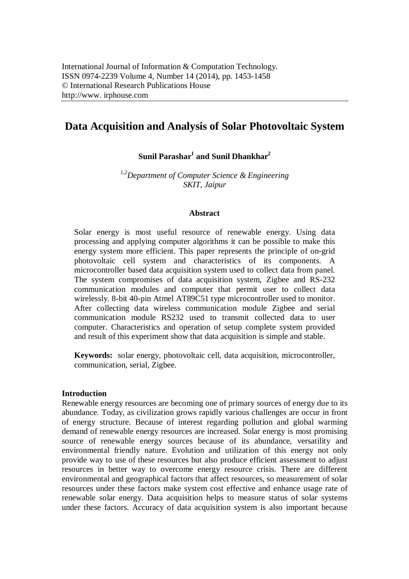# **Data Acquisition and Analysis of Solar Photovoltaic System**

**Sunil Parashar<sup>1</sup> and Sunil Dhankhar<sup>2</sup>**

*1,2Department of Computer Science & Engineering SKIT, Jaipur*

## **Abstract**

Solar energy is most useful resource of renewable energy. Using data processing and applying computer algorithms it can be possible to make this energy system more efficient. This paper represents the principle of on-grid photovoltaic cell system and characteristics of its components. A microcontroller based data acquisition system used to collect data from panel. The system compromises of data acquisition system, Zigbee and RS-232 communication modules and computer that permit user to collect data wirelessly. 8-bit 40-pin Atmel AT89C51 type microcontroller used to monitor. After collecting data wireless communication module Zigbee and serial communication module RS232 used to transmit collected data to user computer. Characteristics and operation of setup complete system provided and result of this experiment show that data acquisition is simple and stable.

**Keywords:** solar energy, photovoltaic cell, data acquisition, microcontroller, communication, serial, Zigbee.

## **Introduction**

Renewable energy resources are becoming one of primary sources of energy due to its abundance. Today, as civilization grows rapidly various challenges are occur in front of energy structure. Because of interest regarding pollution and global warming demand of renewable energy resources are increased. Solar energy is most promising source of renewable energy sources because of its abundance, versatility and environmental friendly nature. Evolution and utilization of this energy not only provide way to use of these resources but also produce efficient assessment to adjust resources in better way to overcome energy resource crisis. There are different environmental and geographical factors that affect resources, so measurement of solar resources under these factors make system cost effective and enhance usage rate of renewable solar energy. Data acquisition helps to measure status of solar systems under these factors. Accuracy of data acquisition system is also important because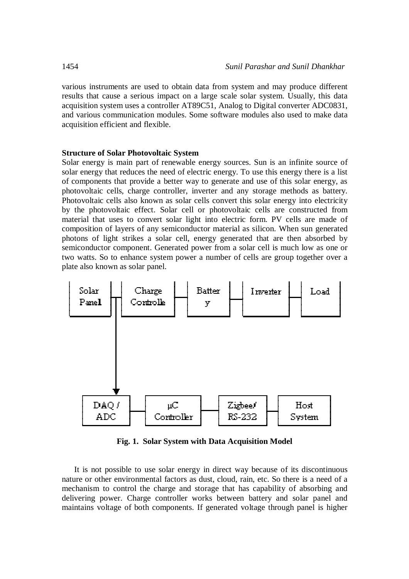various instruments are used to obtain data from system and may produce different results that cause a serious impact on a large scale solar system. Usually, this data acquisition system uses a controller AT89C51, Analog to Digital converter ADC0831, and various communication modules. Some software modules also used to make data acquisition efficient and flexible.

## **Structure of Solar Photovoltaic System**

Solar energy is main part of renewable energy sources. Sun is an infinite source of solar energy that reduces the need of electric energy. To use this energy there is a list of components that provide a better way to generate and use of this solar energy, as photovoltaic cells, charge controller, inverter and any storage methods as battery. Photovoltaic cells also known as solar cells convert this solar energy into electricity by the photovoltaic effect. Solar cell or photovoltaic cells are constructed from material that uses to convert solar light into electric form. PV cells are made of composition of layers of any semiconductor material as silicon. When sun generated photons of light strikes a solar cell, energy generated that are then absorbed by semiconductor component. Generated power from a solar cell is much low as one or two watts. So to enhance system power a number of cells are group together over a plate also known as solar panel.



**Fig. 1. Solar System with Data Acquisition Model**

It is not possible to use solar energy in direct way because of its discontinuous nature or other environmental factors as dust, cloud, rain, etc. So there is a need of a mechanism to control the charge and storage that has capability of absorbing and delivering power. Charge controller works between battery and solar panel and maintains voltage of both components. If generated voltage through panel is higher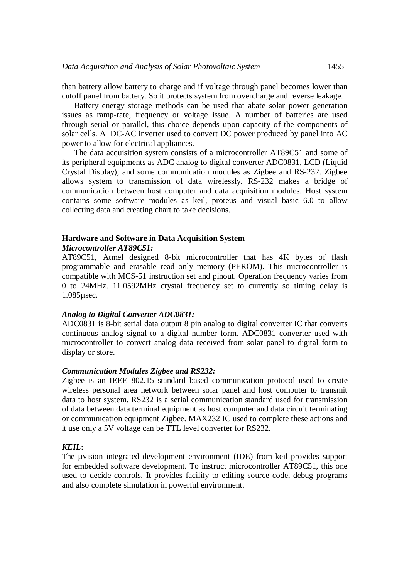than battery allow battery to charge and if voltage through panel becomes lower than cutoff panel from battery. So it protects system from overcharge and reverse leakage.

Battery energy storage methods can be used that abate solar power generation issues as ramp-rate, frequency or voltage issue. A number of batteries are used through serial or parallel, this choice depends upon capacity of the components of solar cells. A DC-AC inverter used to convert DC power produced by panel into AC power to allow for electrical appliances.

The data acquisition system consists of a microcontroller AT89C51 and some of its peripheral equipments as ADC analog to digital converter ADC0831, LCD (Liquid Crystal Display), and some communication modules as Zigbee and RS-232. Zigbee allows system to transmission of data wirelessly. RS-232 makes a bridge of communication between host computer and data acquisition modules. Host system contains some software modules as keil, proteus and visual basic 6.0 to allow collecting data and creating chart to take decisions.

## **Hardware and Software in Data Acquisition System**

#### *Microcontroller AT89C51:*

AT89C51, Atmel designed 8-bit microcontroller that has 4K bytes of flash programmable and erasable read only memory (PEROM). This microcontroller is compatible with MCS-51 instruction set and pinout. Operation frequency varies from 0 to 24MHz. 11.0592MHz crystal frequency set to currently so timing delay is 1.085µsec.

## *Analog to Digital Converter ADC0831:*

ADC0831 is 8-bit serial data output 8 pin analog to digital converter IC that converts continuous analog signal to a digital number form. ADC0831 converter used with microcontroller to convert analog data received from solar panel to digital form to display or store.

### *Communication Modules Zigbee and RS232:*

Zigbee is an IEEE 802.15 standard based communication protocol used to create wireless personal area network between solar panel and host computer to transmit data to host system. RS232 is a serial communication standard used for transmission of data between data terminal equipment as host computer and data circuit terminating or communication equipment Zigbee. MAX232 IC used to complete these actions and it use only a 5V voltage can be TTL level converter for RS232.

### *KEIL***:**

The uvision integrated development environment (IDE) from keil provides support for embedded software development. To instruct microcontroller AT89C51, this one used to decide controls. It provides facility to editing source code, debug programs and also complete simulation in powerful environment.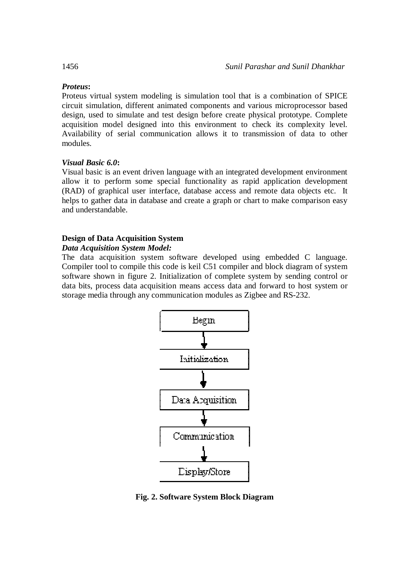## *Proteus***:**

Proteus virtual system modeling is simulation tool that is a combination of SPICE circuit simulation, different animated components and various microprocessor based design, used to simulate and test design before create physical prototype. Complete acquisition model designed into this environment to check its complexity level. Availability of serial communication allows it to transmission of data to other modules.

## *Visual Basic 6.0***:**

Visual basic is an event driven language with an integrated development environment allow it to perform some special functionality as rapid application development (RAD) of graphical user interface, database access and remote data objects etc. It helps to gather data in database and create a graph or chart to make comparison easy and understandable.

## **Design of Data Acquisition System**

## *Data Acquisition System Model:*

The data acquisition system software developed using embedded C language. Compiler tool to compile this code is keil C51 compiler and block diagram of system software shown in figure 2. Initialization of complete system by sending control or data bits, process data acquisition means access data and forward to host system or storage media through any communication modules as Zigbee and RS-232.



**Fig. 2. Software System Block Diagram**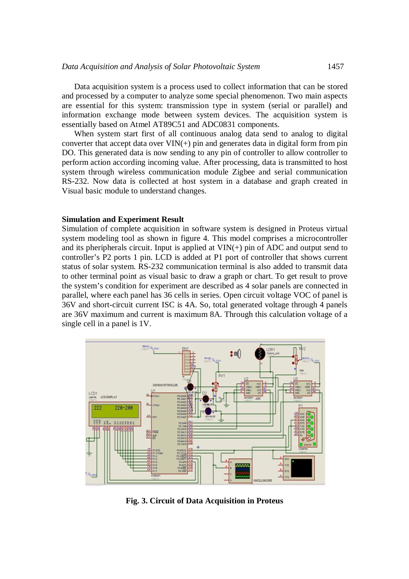Data acquisition system is a process used to collect information that can be stored and processed by a computer to analyze some special phenomenon. Two main aspects are essential for this system: transmission type in system (serial or parallel) and information exchange mode between system devices. The acquisition system is essentially based on Atmel AT89C51 and ADC0831 components.

When system start first of all continuous analog data send to analog to digital converter that accept data over  $VIN(+)$  pin and generates data in digital form from pin DO. This generated data is now sending to any pin of controller to allow controller to perform action according incoming value. After processing, data is transmitted to host system through wireless communication module Zigbee and serial communication RS-232. Now data is collected at host system in a database and graph created in Visual basic module to understand changes.

### **Simulation and Experiment Result**

Simulation of complete acquisition in software system is designed in Proteus virtual system modeling tool as shown in figure 4. This model comprises a microcontroller and its pheripherals circuit. Input is applied at  $VIN(+)$  pin of ADC and output send to controller's P2 ports 1 pin. LCD is added at P1 port of controller that shows current status of solar system. RS-232 communication terminal is also added to transmit data to other terminal point as visual basic to draw a graph or chart. To get result to prove the system's condition for experiment are described as 4 solar panels are connected in parallel, where each panel has 36 cells in series. Open circuit voltage VOC of panel is 36V and short-circuit current ISC is 4A. So, total generated voltage through 4 panels are 36V maximum and current is maximum 8A. Through this calculation voltage of a single cell in a panel is 1V.



**Fig. 3. Circuit of Data Acquisition in Proteus**